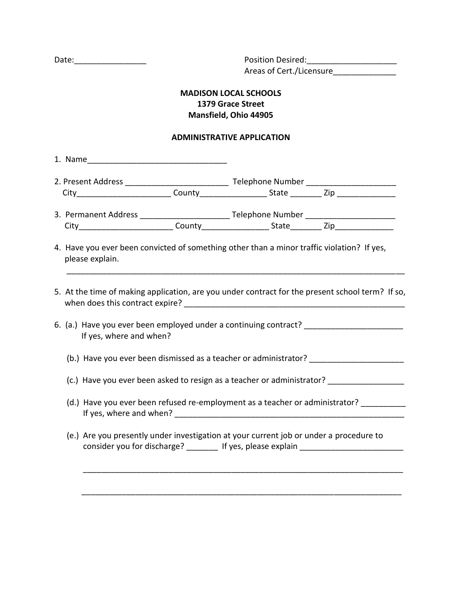Date:\_\_\_\_\_\_\_\_\_\_\_\_\_\_\_\_ Position Desired:\_\_\_\_\_\_\_\_\_\_\_\_\_\_\_\_\_\_\_\_ Areas of Cert./Licensure

# **MADISON LOCAL SCHOOLS 1379 Grace Street Mansfield, Ohio 44905**

#### **ADMINISTRATIVE APPLICATION**

1. Name\_\_\_\_\_\_\_\_\_\_\_\_\_\_\_\_\_\_\_\_\_\_\_\_\_\_\_\_\_\_\_

| 2. Present Address |         | Telephone Number |     |
|--------------------|---------|------------------|-----|
|                    | county. | state            | ∠ir |

3. Permanent Address \_\_\_\_\_\_\_\_\_\_\_\_\_\_\_\_\_\_\_\_\_\_\_\_\_\_\_Telephone Number \_\_\_\_\_\_\_\_\_\_\_\_\_\_\_ City County County State Zip

- 4. Have you ever been convicted of something other than a minor traffic violation? If yes, please explain.
- 5. At the time of making application, are you under contract for the present school term? If so, when does this contract expire? \_\_\_\_\_\_\_\_\_\_\_\_\_\_\_\_\_\_\_\_\_\_\_\_\_\_\_\_\_\_\_\_\_\_\_\_\_\_\_\_\_\_\_\_\_\_\_\_\_

\_\_\_\_\_\_\_\_\_\_\_\_\_\_\_\_\_\_\_\_\_\_\_\_\_\_\_\_\_\_\_\_\_\_\_\_\_\_\_\_\_\_\_\_\_\_\_\_\_\_\_\_\_\_\_\_\_\_\_\_\_\_\_\_\_\_\_\_\_\_\_\_\_\_\_

- 6. (a.) Have you ever been employed under a continuing contract? If yes, where and when?
	- (b.) Have you ever been dismissed as a teacher or administrator?  $\frac{1}{1}$
	- (c.) Have you ever been asked to resign as a teacher or administrator? \_\_\_\_\_\_\_\_\_\_
	- (d.) Have you ever been refused re-employment as a teacher or administrator? If yes, where and when? \_\_\_\_\_\_\_\_\_\_\_\_\_\_\_\_\_\_\_\_\_\_\_\_\_\_\_\_\_\_\_\_\_\_\_\_\_\_\_\_\_\_\_\_\_\_\_\_\_\_\_
	- (e.) Are you presently under investigation at your current job or under a procedure to consider you for discharge? \_\_\_\_\_\_\_ If yes, please explain \_\_\_\_\_\_\_\_\_\_\_\_\_\_\_\_\_\_\_\_\_

\_\_\_\_\_\_\_\_\_\_\_\_\_\_\_\_\_\_\_\_\_\_\_\_\_\_\_\_\_\_\_\_\_\_\_\_\_\_\_\_\_\_\_\_\_\_\_\_\_\_\_\_\_\_\_\_\_\_\_\_\_\_\_\_\_\_\_\_\_\_\_

\_\_\_\_\_\_\_\_\_\_\_\_\_\_\_\_\_\_\_\_\_\_\_\_\_\_\_\_\_\_\_\_\_\_\_\_\_\_\_\_\_\_\_\_\_\_\_\_\_\_\_\_\_\_\_\_\_\_\_\_\_\_\_\_\_\_\_\_\_\_\_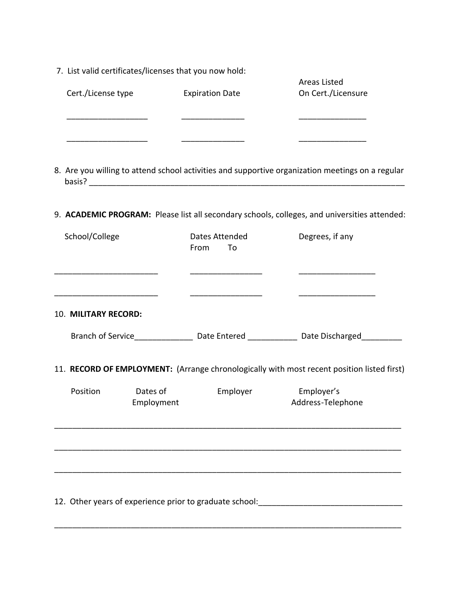|  |  | 7. List valid certificates/licenses that you now hold: |  |
|--|--|--------------------------------------------------------|--|
|--|--|--------------------------------------------------------|--|

| Cert./License type | <b>Expiration Date</b> | Areas Listed<br>On Cert./Licensure |
|--------------------|------------------------|------------------------------------|
|                    |                        |                                    |
|                    |                        |                                    |

8. Are you willing to attend school activities and supportive organization meetings on a regular basis? \_\_\_\_\_\_\_\_\_\_\_\_\_\_\_\_\_\_\_\_\_\_\_\_\_\_\_\_\_\_\_\_\_\_\_\_\_\_\_\_\_\_\_\_\_\_\_\_\_\_\_\_\_\_\_\_\_\_\_\_\_\_\_\_\_\_\_\_\_\_

9. **ACADEMIC PROGRAM:** Please list all secondary schools, colleges, and universities attended:

| School/College       |                        | Dates Attended<br>From<br>To | Degrees, if any                                                                                           |
|----------------------|------------------------|------------------------------|-----------------------------------------------------------------------------------------------------------|
| 10. MILITARY RECORD: |                        |                              |                                                                                                           |
|                      |                        |                              | Branch of Service________________________Date Entered _____________________Date Discharged_______________ |
|                      |                        |                              | 11. RECORD OF EMPLOYMENT: (Arrange chronologically with most recent position listed first)                |
| Position             | Dates of<br>Employment | Employer                     | Employer's<br>Address-Telephone                                                                           |
|                      |                        |                              |                                                                                                           |
|                      |                        |                              | 12. Other years of experience prior to graduate school: ________________________                          |

\_\_\_\_\_\_\_\_\_\_\_\_\_\_\_\_\_\_\_\_\_\_\_\_\_\_\_\_\_\_\_\_\_\_\_\_\_\_\_\_\_\_\_\_\_\_\_\_\_\_\_\_\_\_\_\_\_\_\_\_\_\_\_\_\_\_\_\_\_\_\_\_\_\_\_\_\_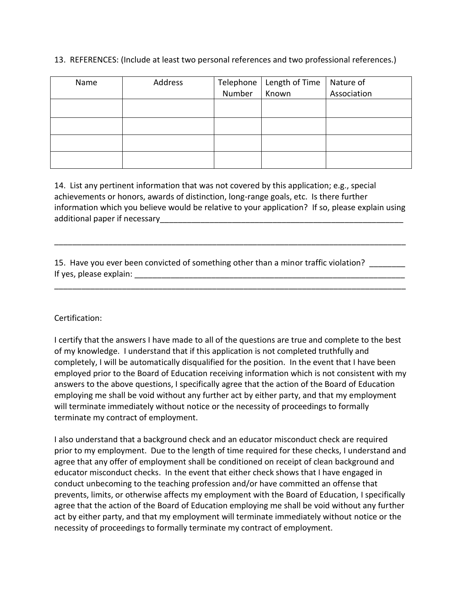### 13. REFERENCES: (Include at least two personal references and two professional references.)

| Name | Address |                | Telephone   Length of Time   Nature of |             |
|------|---------|----------------|----------------------------------------|-------------|
|      |         | Number   Known |                                        | Association |
|      |         |                |                                        |             |
|      |         |                |                                        |             |
|      |         |                |                                        |             |
|      |         |                |                                        |             |
|      |         |                |                                        |             |
|      |         |                |                                        |             |
|      |         |                |                                        |             |
|      |         |                |                                        |             |

14. List any pertinent information that was not covered by this application; e.g., special achievements or honors, awards of distinction, long-range goals, etc. Is there further information which you believe would be relative to your application? If so, please explain using additional paper if necessary

\_\_\_\_\_\_\_\_\_\_\_\_\_\_\_\_\_\_\_\_\_\_\_\_\_\_\_\_\_\_\_\_\_\_\_\_\_\_\_\_\_\_\_\_\_\_\_\_\_\_\_\_\_\_\_\_\_\_\_\_\_\_\_\_\_\_\_\_\_\_\_\_\_\_\_\_\_\_

\_\_\_\_\_\_\_\_\_\_\_\_\_\_\_\_\_\_\_\_\_\_\_\_\_\_\_\_\_\_\_\_\_\_\_\_\_\_\_\_\_\_\_\_\_\_\_\_\_\_\_\_\_\_\_\_\_\_\_\_\_\_\_\_\_\_\_\_\_\_\_\_\_\_\_\_\_\_

15. Have you ever been convicted of something other than a minor traffic violation? If yes, please explain: \_\_\_\_\_\_\_\_\_\_\_\_\_\_\_\_\_\_\_\_\_\_\_\_\_\_\_\_\_\_\_\_\_\_\_\_\_\_\_\_\_\_\_\_\_\_\_\_\_\_\_\_\_\_\_\_\_\_\_\_

### Certification:

I certify that the answers I have made to all of the questions are true and complete to the best of my knowledge. I understand that if this application is not completed truthfully and completely, I will be automatically disqualified for the position. In the event that I have been employed prior to the Board of Education receiving information which is not consistent with my answers to the above questions, I specifically agree that the action of the Board of Education employing me shall be void without any further act by either party, and that my employment will terminate immediately without notice or the necessity of proceedings to formally terminate my contract of employment.

I also understand that a background check and an educator misconduct check are required prior to my employment. Due to the length of time required for these checks, I understand and agree that any offer of employment shall be conditioned on receipt of clean background and educator misconduct checks. In the event that either check shows that I have engaged in conduct unbecoming to the teaching profession and/or have committed an offense that prevents, limits, or otherwise affects my employment with the Board of Education, I specifically agree that the action of the Board of Education employing me shall be void without any further act by either party, and that my employment will terminate immediately without notice or the necessity of proceedings to formally terminate my contract of employment.